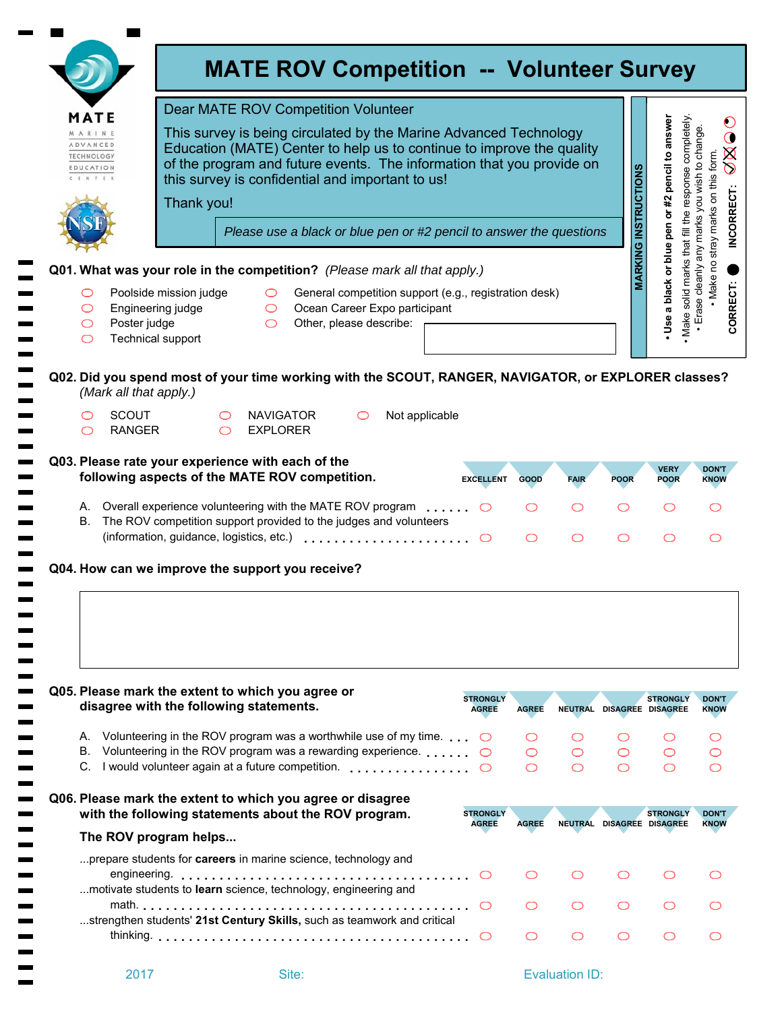| MATE                                                                                                 |            |                                                                                                                                                                                                                                                                         | <b>Dear MATE ROV Competition Volunteer</b>                                                                         |                |                                 |              |             |                             |                                                                        |                                                                 |
|------------------------------------------------------------------------------------------------------|------------|-------------------------------------------------------------------------------------------------------------------------------------------------------------------------------------------------------------------------------------------------------------------------|--------------------------------------------------------------------------------------------------------------------|----------------|---------------------------------|--------------|-------------|-----------------------------|------------------------------------------------------------------------|-----------------------------------------------------------------|
| MARINE<br>ADVANCED<br><b>TECHNOLOGY</b><br>EDUCATION<br>CENTER                                       |            | This survey is being circulated by the Marine Advanced Technology<br>Education (MATE) Center to help us to continue to improve the quality<br>of the program and future events. The information that you provide on<br>this survey is confidential and important to us! |                                                                                                                    |                |                                 |              |             | <b>MARKING INSTRUCTIONS</b> | pencil to answer<br>Make solid marks that fill the response completely | wish to change<br>$\oslash$<br>Make no stray marks on this form |
|                                                                                                      | Thank you! |                                                                                                                                                                                                                                                                         |                                                                                                                    |                |                                 |              |             |                             | or#2                                                                   | you                                                             |
|                                                                                                      |            | Please use a black or blue pen or #2 pencil to answer the questions                                                                                                                                                                                                     |                                                                                                                    |                |                                 |              |             |                             | pen                                                                    |                                                                 |
|                                                                                                      |            |                                                                                                                                                                                                                                                                         | Q01. What was your role in the competition? (Please mark all that apply.)                                          |                |                                 |              |             |                             | or blue                                                                |                                                                 |
| Poolside mission judge<br>O<br>Engineering judge<br>O<br>Poster judge<br>O<br>Technical support<br>O |            | $\circ$<br>$\circ$<br>$\circ$                                                                                                                                                                                                                                           | General competition support (e.g., registration desk)<br>Ocean Career Expo participant<br>Other, please describe:  |                |                                 |              |             |                             | black<br>$\boldsymbol{\varpi}$<br>Jse                                  | Erase cleanly any marks                                         |
| (Mark all that apply.)                                                                               |            |                                                                                                                                                                                                                                                                         | Q02. Did you spend most of your time working with the SCOUT, RANGER, NAVIGATOR, or EXPLORER classes?               |                |                                 |              |             |                             |                                                                        |                                                                 |
| SCOUT<br><b>RANGER</b><br>⌒                                                                          | $\bigcirc$ | <b>NAVIGATOR</b><br><b>EXPLORER</b>                                                                                                                                                                                                                                     | O                                                                                                                  | Not applicable |                                 |              |             |                             |                                                                        |                                                                 |
| Q03. Please rate your experience with each of the<br>following aspects of the MATE ROV competition.  |            |                                                                                                                                                                                                                                                                         |                                                                                                                    |                | <b>EXCELLENT</b>                | <b>GOOD</b>  | <b>FAIR</b> | <b>POOR</b>                 | <b>VERY</b><br><b>POOR</b>                                             | <b>DON'T</b><br><b>KNOW</b>                                     |
|                                                                                                      |            |                                                                                                                                                                                                                                                                         | B. The ROV competition support provided to the judges and volunteers                                               |                |                                 |              | O           | O                           |                                                                        | ⌒                                                               |
|                                                                                                      |            |                                                                                                                                                                                                                                                                         |                                                                                                                    |                |                                 | ◯            | $\bigcirc$  | $\bigcirc$                  | O                                                                      | ⌒                                                               |
| Q04. How can we improve the support you receive?                                                     |            |                                                                                                                                                                                                                                                                         |                                                                                                                    |                |                                 |              |             |                             |                                                                        |                                                                 |
| Q05. Please mark the extent to which you agree or<br>disagree with the following statements.         |            |                                                                                                                                                                                                                                                                         |                                                                                                                    |                | <b>STRONGLY</b><br><b>AGREE</b> | <b>AGREE</b> |             |                             | <b>STRONGLY</b><br>NEUTRAL DISAGREE DISAGREE                           |                                                                 |
| А.                                                                                                   |            |                                                                                                                                                                                                                                                                         | Volunteering in the ROV program was a worthwhile use of my time. $\Box$                                            |                |                                 | O            | O           | O                           | O                                                                      |                                                                 |
|                                                                                                      |            |                                                                                                                                                                                                                                                                         | B. Volunteering in the ROV program was a rewarding experience. $\ldots$                                            |                |                                 | ◯            | $\bigcirc$  | $\bigcirc$                  | O                                                                      |                                                                 |
|                                                                                                      |            |                                                                                                                                                                                                                                                                         | C. I would volunteer again at a future competition.                                                                |                | $\circ$                         | ◯            | ◯           | $\bigcirc$                  | ◯                                                                      |                                                                 |
|                                                                                                      |            |                                                                                                                                                                                                                                                                         | Q06. Please mark the extent to which you agree or disagree<br>with the following statements about the ROV program. |                | <b>STRONGLY</b>                 |              |             |                             | <b>STRONGLY</b>                                                        |                                                                 |
| The ROV program helps                                                                                |            |                                                                                                                                                                                                                                                                         |                                                                                                                    |                | <b>AGREE</b>                    | <b>AGREE</b> |             |                             | NEUTRAL DISAGREE DISAGREE                                              |                                                                 |
|                                                                                                      |            |                                                                                                                                                                                                                                                                         | prepare students for <b>careers</b> in marine science, technology and                                              |                |                                 |              |             |                             |                                                                        |                                                                 |
|                                                                                                      |            |                                                                                                                                                                                                                                                                         | motivate students to learn science, technology, engineering and                                                    |                |                                 | ◯            | O           | O                           |                                                                        |                                                                 |
|                                                                                                      |            |                                                                                                                                                                                                                                                                         | strengthen students' 21st Century Skills, such as teamwork and critical                                            |                |                                 | O            | ◯           | O                           |                                                                        | O<br>O<br>◯<br>O<br>◯                                           |
|                                                                                                      |            |                                                                                                                                                                                                                                                                         |                                                                                                                    |                | $\bigcirc$                      | ◯            | O           | ◯                           | ◯                                                                      | <b>DON'T</b><br><b>KNOW</b><br><b>DON'T</b><br><b>KNOW</b><br>◯ |